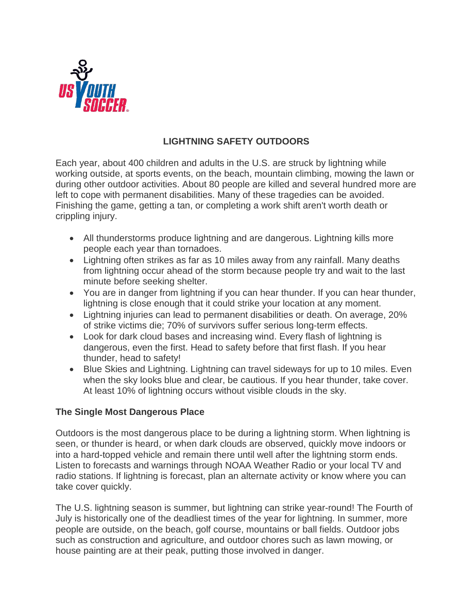

# **LIGHTNING SAFETY OUTDOORS**

Each year, about 400 children and adults in the U.S. are struck by lightning while working outside, at sports events, on the beach, mountain climbing, mowing the lawn or during other outdoor activities. About 80 people are killed and several hundred more are left to cope with permanent disabilities. Many of these tragedies can be avoided. Finishing the game, getting a tan, or completing a work shift aren't worth death or crippling injury.

- All thunderstorms produce lightning and are dangerous. Lightning kills more people each year than tornadoes.
- Lightning often strikes as far as 10 miles away from any rainfall. Many deaths from lightning occur ahead of the storm because people try and wait to the last minute before seeking shelter.
- You are in danger from lightning if you can hear thunder. If you can hear thunder, lightning is close enough that it could strike your location at any moment.
- Lightning injuries can lead to permanent disabilities or death. On average, 20% of strike victims die; 70% of survivors suffer serious long-term effects.
- Look for dark cloud bases and increasing wind. Every flash of lightning is dangerous, even the first. Head to safety before that first flash. If you hear thunder, head to safety!
- Blue Skies and Lightning. Lightning can travel sideways for up to 10 miles. Even when the sky looks blue and clear, be cautious. If you hear thunder, take cover. At least 10% of lightning occurs without visible clouds in the sky.

## **The Single Most Dangerous Place**

Outdoors is the most dangerous place to be during a lightning storm. When lightning is seen, or thunder is heard, or when dark clouds are observed, quickly move indoors or into a hard-topped vehicle and remain there until well after the lightning storm ends. Listen to forecasts and warnings through NOAA Weather Radio or your local TV and radio stations. If lightning is forecast, plan an alternate activity or know where you can take cover quickly.

The U.S. lightning season is summer, but lightning can strike year-round! The Fourth of July is historically one of the deadliest times of the year for lightning. In summer, more people are outside, on the beach, golf course, mountains or ball fields. Outdoor jobs such as construction and agriculture, and outdoor chores such as lawn mowing, or house painting are at their peak, putting those involved in danger.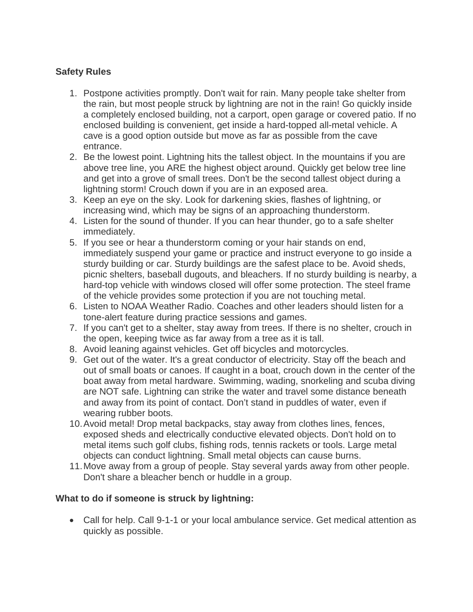## **Safety Rules**

- 1. Postpone activities promptly. Don't wait for rain. Many people take shelter from the rain, but most people struck by lightning are not in the rain! Go quickly inside a completely enclosed building, not a carport, open garage or covered patio. If no enclosed building is convenient, get inside a hard-topped all-metal vehicle. A cave is a good option outside but move as far as possible from the cave entrance.
- 2. Be the lowest point. Lightning hits the tallest object. In the mountains if you are above tree line, you ARE the highest object around. Quickly get below tree line and get into a grove of small trees. Don't be the second tallest object during a lightning storm! Crouch down if you are in an exposed area.
- 3. Keep an eye on the sky. Look for darkening skies, flashes of lightning, or increasing wind, which may be signs of an approaching thunderstorm.
- 4. Listen for the sound of thunder. If you can hear thunder, go to a safe shelter immediately.
- 5. If you see or hear a thunderstorm coming or your hair stands on end, immediately suspend your game or practice and instruct everyone to go inside a sturdy building or car. Sturdy buildings are the safest place to be. Avoid sheds, picnic shelters, baseball dugouts, and bleachers. If no sturdy building is nearby, a hard-top vehicle with windows closed will offer some protection. The steel frame of the vehicle provides some protection if you are not touching metal.
- 6. Listen to NOAA Weather Radio. Coaches and other leaders should listen for a tone-alert feature during practice sessions and games.
- 7. If you can't get to a shelter, stay away from trees. If there is no shelter, crouch in the open, keeping twice as far away from a tree as it is tall.
- 8. Avoid leaning against vehicles. Get off bicycles and motorcycles.
- 9. Get out of the water. It's a great conductor of electricity. Stay off the beach and out of small boats or canoes. If caught in a boat, crouch down in the center of the boat away from metal hardware. Swimming, wading, snorkeling and scuba diving are NOT safe. Lightning can strike the water and travel some distance beneath and away from its point of contact. Don't stand in puddles of water, even if wearing rubber boots.
- 10.Avoid metal! Drop metal backpacks, stay away from clothes lines, fences, exposed sheds and electrically conductive elevated objects. Don't hold on to metal items such golf clubs, fishing rods, tennis rackets or tools. Large metal objects can conduct lightning. Small metal objects can cause burns.
- 11.Move away from a group of people. Stay several yards away from other people. Don't share a bleacher bench or huddle in a group.

## **What to do if someone is struck by lightning:**

• Call for help. Call 9-1-1 or your local ambulance service. Get medical attention as quickly as possible.